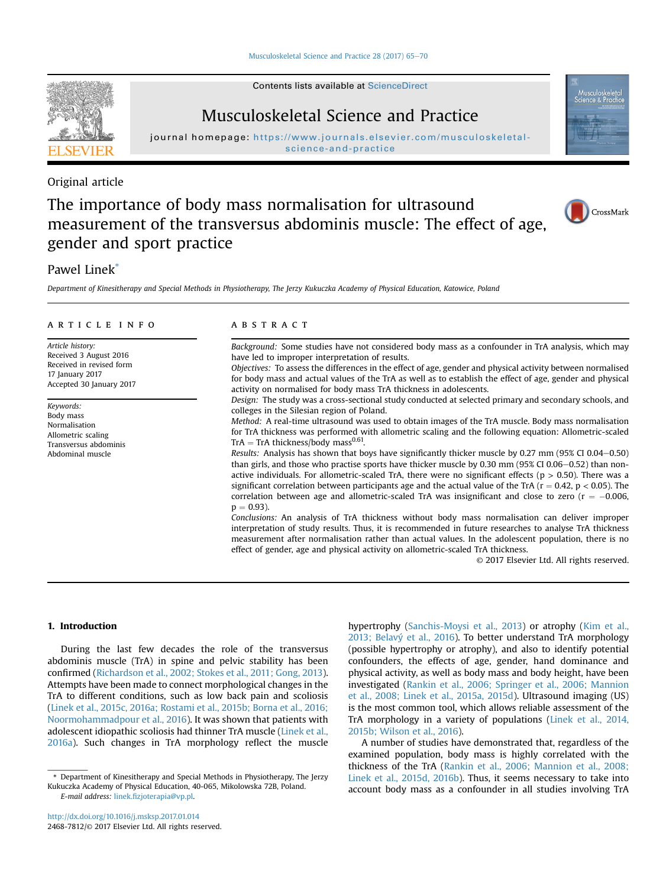Contents lists available at [ScienceDirect](www.sciencedirect.com/science/journal/24687812)



Musculoskeletal Science and Practice

journal homepage: [https://www.journals.elsevier.com/musculoskeletal](https://www.journals.elsevier.com/musculoskeletalscience-and-practice)[science-and-practice](https://www.journals.elsevier.com/musculoskeletalscience-and-practice)

## Original article

# The importance of body mass normalisation for ultrasound measurement of the transversus abdominis muscle: The effect of age, gender and sport practice



## Pawel Linek\*

Department of Kinesitherapy and Special Methods in Physiotherapy, The Jerzy Kukuczka Academy of Physical Education, Katowice, Poland

#### article info

Article history: Received 3 August 2016 Received in revised form 17 January 2017 Accepted 30 January 2017

Keywords: Body mass Normalisation Allometric scaling Transversus abdominis Abdominal muscle

#### **ABSTRACT**

Background: Some studies have not considered body mass as a confounder in TrA analysis, which may have led to improper interpretation of results. Objectives: To assess the differences in the effect of age, gender and physical activity between normalised for body mass and actual values of the TrA as well as to establish the effect of age, gender and physical activity on normalised for body mass TrA thickness in adolescents.

Design: The study was a cross-sectional study conducted at selected primary and secondary schools, and colleges in the Silesian region of Poland.

Method: A real-time ultrasound was used to obtain images of the TrA muscle. Body mass normalisation for TrA thickness was performed with allometric scaling and the following equation: Allometric-scaled  $TrA = TrA$  thickness/body mass<sup>0.61</sup>.

Results: Analysis has shown that boys have significantly thicker muscle by 0.27 mm (95% CI 0.04-0.50) than girls, and those who practise sports have thicker muscle by 0.30 mm ( $95\%$  CI 0.06 $-0.52$ ) than nonactive individuals. For allometric-scaled TrA, there were no significant effects ( $p > 0.50$ ). There was a significant correlation between participants age and the actual value of the TrA ( $r = 0.42$ ,  $p < 0.05$ ). The correlation between age and allometric-scaled TrA was insignificant and close to zero ( $r = -0.006$ )  $p = 0.93$ ).

Conclusions: An analysis of TrA thickness without body mass normalisation can deliver improper interpretation of study results. Thus, it is recommended in future researches to analyse TrA thickness measurement after normalisation rather than actual values. In the adolescent population, there is no effect of gender, age and physical activity on allometric-scaled TrA thickness.

© 2017 Elsevier Ltd. All rights reserved.

#### 1. Introduction

During the last few decades the role of the transversus abdominis muscle (TrA) in spine and pelvic stability has been confirmed [\(Richardson et al., 2002; Stokes et al., 2011; Gong, 2013\)](#page--1-0). Attempts have been made to connect morphological changes in the TrA to different conditions, such as low back pain and scoliosis ([Linek et al., 2015c, 2016a; Rostami et al., 2015b; Borna et al., 2016;](#page--1-0) [Noormohammadpour et al., 2016](#page--1-0)). It was shown that patients with adolescent idiopathic scoliosis had thinner TrA muscle [\(Linek et al.,](#page--1-0) [2016a\)](#page--1-0). Such changes in TrA morphology reflect the muscle

hypertrophy [\(Sanchis-Moysi et al., 2013](#page--1-0)) or atrophy ([Kim et al.,](#page--1-0) [2013; Belavý et al., 2016\)](#page--1-0). To better understand TrA morphology (possible hypertrophy or atrophy), and also to identify potential confounders, the effects of age, gender, hand dominance and physical activity, as well as body mass and body height, have been investigated ([Rankin et al., 2006; Springer et al., 2006; Mannion](#page--1-0) [et al., 2008; Linek et al., 2015a, 2015d](#page--1-0)). Ultrasound imaging (US) is the most common tool, which allows reliable assessment of the TrA morphology in a variety of populations [\(Linek et al., 2014,](#page--1-0) [2015b; Wilson et al., 2016\)](#page--1-0).

A number of studies have demonstrated that, regardless of the examined population, body mass is highly correlated with the thickness of the TrA [\(Rankin et al., 2006; Mannion et al., 2008;](#page--1-0) [Linek et al., 2015d, 2016b\)](#page--1-0). Thus, it seems necessary to take into account body mass as a confounder in all studies involving TrA

<sup>\*</sup> Department of Kinesitherapy and Special Methods in Physiotherapy, The Jerzy Kukuczka Academy of Physical Education, 40-065, Mikolowska 72B, Poland. E-mail address: linek.fi[zjoterapia@vp.pl.](mailto:linek.fizjoterapia@vp.pl)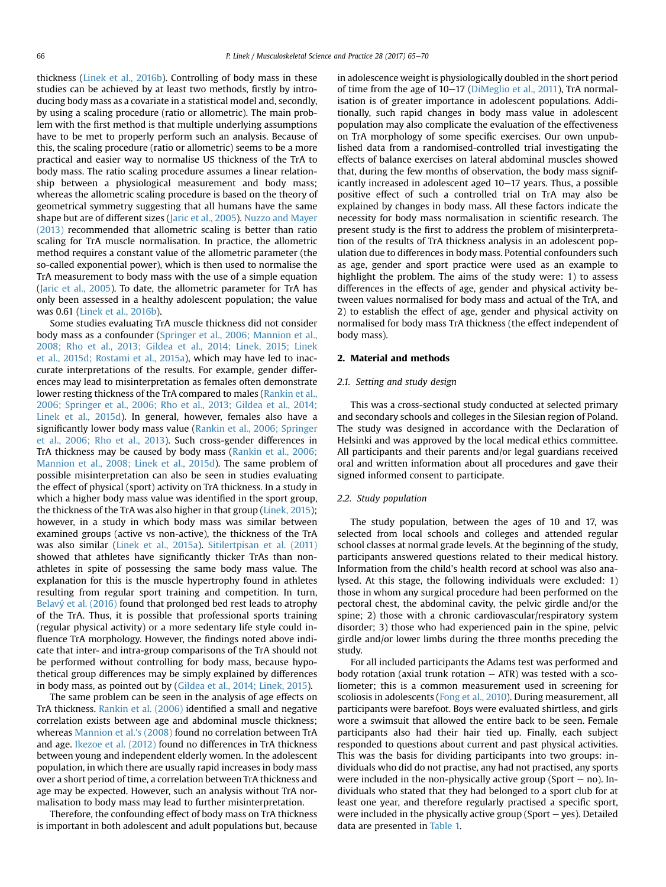thickness [\(Linek et al., 2016b\)](#page--1-0). Controlling of body mass in these studies can be achieved by at least two methods, firstly by introducing body mass as a covariate in a statistical model and, secondly, by using a scaling procedure (ratio or allometric). The main problem with the first method is that multiple underlying assumptions have to be met to properly perform such an analysis. Because of this, the scaling procedure (ratio or allometric) seems to be a more practical and easier way to normalise US thickness of the TrA to body mass. The ratio scaling procedure assumes a linear relationship between a physiological measurement and body mass; whereas the allometric scaling procedure is based on the theory of geometrical symmetry suggesting that all humans have the same shape but are of different sizes [\(Jaric et al., 2005\)](#page--1-0). [Nuzzo and Mayer](#page--1-0) [\(2013\)](#page--1-0) recommended that allometric scaling is better than ratio scaling for TrA muscle normalisation. In practice, the allometric method requires a constant value of the allometric parameter (the so-called exponential power), which is then used to normalise the TrA measurement to body mass with the use of a simple equation ([Jaric et al., 2005](#page--1-0)). To date, the allometric parameter for TrA has only been assessed in a healthy adolescent population; the value was 0.61 [\(Linek et al., 2016b\)](#page--1-0).

Some studies evaluating TrA muscle thickness did not consider body mass as a confounder [\(Springer et al., 2006; Mannion et al.,](#page--1-0) [2008; Rho et al., 2013; Gildea et al., 2014; Linek, 2015; Linek](#page--1-0) [et al., 2015d; Rostami et al., 2015a](#page--1-0)), which may have led to inaccurate interpretations of the results. For example, gender differences may lead to misinterpretation as females often demonstrate lower resting thickness of the TrA compared to males [\(Rankin et al.,](#page--1-0) [2006; Springer et al., 2006; Rho et al., 2013; Gildea et al., 2014;](#page--1-0) [Linek et al., 2015d](#page--1-0)). In general, however, females also have a significantly lower body mass value ([Rankin et al., 2006; Springer](#page--1-0) [et al., 2006; Rho et al., 2013](#page--1-0)). Such cross-gender differences in TrA thickness may be caused by body mass [\(Rankin et al., 2006;](#page--1-0) [Mannion et al., 2008; Linek et al., 2015d](#page--1-0)). The same problem of possible misinterpretation can also be seen in studies evaluating the effect of physical (sport) activity on TrA thickness. In a study in which a higher body mass value was identified in the sport group, the thickness of the TrA was also higher in that group ([Linek, 2015](#page--1-0)); however, in a study in which body mass was similar between examined groups (active vs non-active), the thickness of the TrA was also similar [\(Linek et al., 2015a](#page--1-0)). [Sitilertpisan et al. \(2011\)](#page--1-0) showed that athletes have significantly thicker TrAs than nonathletes in spite of possessing the same body mass value. The explanation for this is the muscle hypertrophy found in athletes resulting from regular sport training and competition. In turn, [Belavý et al. \(2016\)](#page--1-0) found that prolonged bed rest leads to atrophy of the TrA. Thus, it is possible that professional sports training (regular physical activity) or a more sedentary life style could influence TrA morphology. However, the findings noted above indicate that inter- and intra-group comparisons of the TrA should not be performed without controlling for body mass, because hypothetical group differences may be simply explained by differences in body mass, as pointed out by [\(Gildea et al., 2014; Linek, 2015\)](#page--1-0).

The same problem can be seen in the analysis of age effects on TrA thickness. [Rankin et al. \(2006\)](#page--1-0) identified a small and negative correlation exists between age and abdominal muscle thickness; whereas [Mannion et al.'s \(2008\)](#page--1-0) found no correlation between TrA and age. [Ikezoe et al. \(2012\)](#page--1-0) found no differences in TrA thickness between young and independent elderly women. In the adolescent population, in which there are usually rapid increases in body mass over a short period of time, a correlation between TrA thickness and age may be expected. However, such an analysis without TrA normalisation to body mass may lead to further misinterpretation.

Therefore, the confounding effect of body mass on TrA thickness is important in both adolescent and adult populations but, because in adolescence weight is physiologically doubled in the short period of time from the age of  $10-17$  ([DiMeglio et al., 2011](#page--1-0)), TrA normalisation is of greater importance in adolescent populations. Additionally, such rapid changes in body mass value in adolescent population may also complicate the evaluation of the effectiveness on TrA morphology of some specific exercises. Our own unpublished data from a randomised-controlled trial investigating the effects of balance exercises on lateral abdominal muscles showed that, during the few months of observation, the body mass significantly increased in adolescent aged  $10-17$  years. Thus, a possible positive effect of such a controlled trial on TrA may also be explained by changes in body mass. All these factors indicate the necessity for body mass normalisation in scientific research. The present study is the first to address the problem of misinterpretation of the results of TrA thickness analysis in an adolescent population due to differences in body mass. Potential confounders such as age, gender and sport practice were used as an example to highlight the problem. The aims of the study were: 1) to assess differences in the effects of age, gender and physical activity between values normalised for body mass and actual of the TrA, and 2) to establish the effect of age, gender and physical activity on normalised for body mass TrA thickness (the effect independent of body mass).

#### 2. Material and methods

#### 2.1. Setting and study design

This was a cross-sectional study conducted at selected primary and secondary schools and colleges in the Silesian region of Poland. The study was designed in accordance with the Declaration of Helsinki and was approved by the local medical ethics committee. All participants and their parents and/or legal guardians received oral and written information about all procedures and gave their signed informed consent to participate.

#### 2.2. Study population

The study population, between the ages of 10 and 17, was selected from local schools and colleges and attended regular school classes at normal grade levels. At the beginning of the study, participants answered questions related to their medical history. Information from the child's health record at school was also analysed. At this stage, the following individuals were excluded: 1) those in whom any surgical procedure had been performed on the pectoral chest, the abdominal cavity, the pelvic girdle and/or the spine; 2) those with a chronic cardiovascular/respiratory system disorder; 3) those who had experienced pain in the spine, pelvic girdle and/or lower limbs during the three months preceding the study.

For all included participants the Adams test was performed and body rotation (axial trunk rotation  $-$  ATR) was tested with a scoliometer; this is a common measurement used in screening for scoliosis in adolescents [\(Fong et al., 2010](#page--1-0)). During measurement, all participants were barefoot. Boys were evaluated shirtless, and girls wore a swimsuit that allowed the entire back to be seen. Female participants also had their hair tied up. Finally, each subject responded to questions about current and past physical activities. This was the basis for dividing participants into two groups: individuals who did do not practise, any had not practised, any sports were included in the non-physically active group (Sport  $-$  no). Individuals who stated that they had belonged to a sport club for at least one year, and therefore regularly practised a specific sport, were included in the physically active group (Sport  $-$  yes). Detailed data are presented in [Table 1.](#page--1-0)